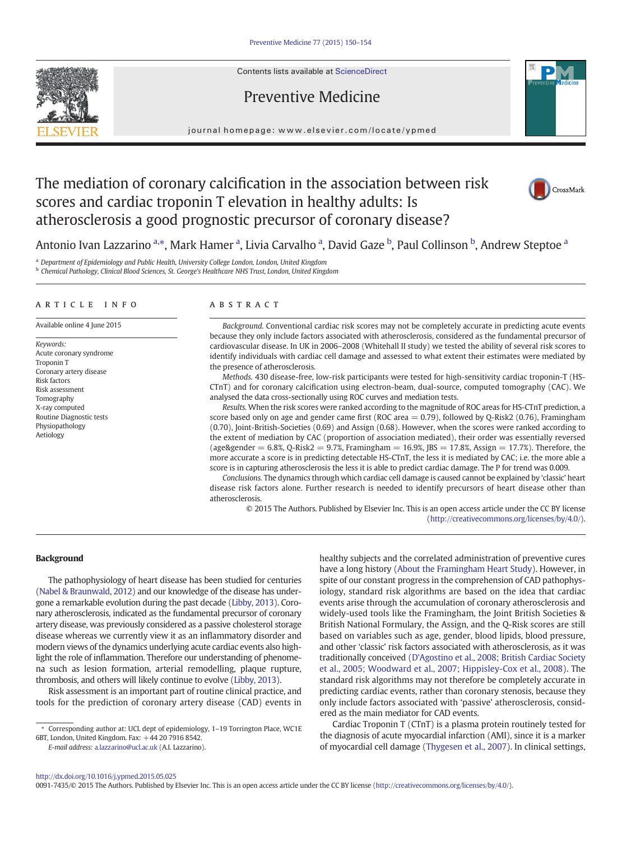Contents lists available at [ScienceDirect](http://www.sciencedirect.com/science/journal/00917435)

Preventive Medicine



journal homepage: www.elsevier.com/locate/ypmed

# The mediation of coronary calcification in the association between risk scores and cardiac troponin T elevation in healthy adults: Is atherosclerosis a good prognostic precursor of coronary disease?



Antonio Ivan Lazzarino <sup>a,\*</sup>, Mark Hamer <sup>a</sup>, Livia Carvalho <sup>a</sup>, David Gaze <sup>b</sup>, Paul Collinson <sup>b</sup>, Andrew Steptoe <sup>a</sup>

<sup>a</sup> Department of Epidemiology and Public Health, University College London, London, United Kingdom

<sup>b</sup> Chemical Pathology, Clinical Blood Sciences, St. George's Healthcare NHS Trust, London, United Kingdom

# article info abstract

Available online 4 June 2015

Keywords: Acute coronary syndrome Troponin T Coronary artery disease Risk factors Risk assessment Tomography X-ray computed Routine Diagnostic tests Physiopathology Aetiology

Background. Conventional cardiac risk scores may not be completely accurate in predicting acute events because they only include factors associated with atherosclerosis, considered as the fundamental precursor of cardiovascular disease. In UK in 2006–2008 (Whitehall II study) we tested the ability of several risk scores to identify individuals with cardiac cell damage and assessed to what extent their estimates were mediated by the presence of atherosclerosis.

Methods. 430 disease-free, low-risk participants were tested for high-sensitivity cardiac troponin-T (HS-CTnT) and for coronary calcification using electron-beam, dual-source, computed tomography (CAC). We analysed the data cross-sectionally using ROC curves and mediation tests.

Results. When the risk scores were ranked according to the magnitude of ROC areas for HS-CTnT prediction, a score based only on age and gender came first (ROC area  $= 0.79$ ), followed by Q-Risk2 (0.76), Framingham (0.70), Joint-British-Societies (0.69) and Assign (0.68). However, when the scores were ranked according to the extent of mediation by CAC (proportion of association mediated), their order was essentially reversed (age&gender = 6.8%, Q-Risk2 = 9.7%, Framingham =  $16.9%$ , JBS =  $17.8%$ , Assign =  $17.7%$ ). Therefore, the more accurate a score is in predicting detectable HS-CTnT, the less it is mediated by CAC; i.e. the more able a score is in capturing atherosclerosis the less it is able to predict cardiac damage. The P for trend was 0.009.

Conclusions. The dynamics through which cardiac cell damage is caused cannot be explained by 'classic' heart disease risk factors alone. Further research is needed to identify precursors of heart disease other than atherosclerosis.

© 2015 The Authors. Published by Elsevier Inc. This is an open access article under the CC BY license [\(http://creativecommons.org/licenses/by/4.0/](http://creativecommons.org/licenses/by/4.0/)).

# **Background**

The pathophysiology of heart disease has been studied for centuries [\(Nabel & Braunwald, 2012\)](#page-3-0) and our knowledge of the disease has undergone a remarkable evolution during the past decade ([Libby, 2013\)](#page-3-0). Coronary atherosclerosis, indicated as the fundamental precursor of coronary artery disease, was previously considered as a passive cholesterol storage disease whereas we currently view it as an inflammatory disorder and modern views of the dynamics underlying acute cardiac events also highlight the role of inflammation. Therefore our understanding of phenomena such as lesion formation, arterial remodelling, plaque rupture, thrombosis, and others will likely continue to evolve [\(Libby, 2013\)](#page-3-0).

Risk assessment is an important part of routine clinical practice, and tools for the prediction of coronary artery disease (CAD) events in

E-mail address: [a.lazzarino@ucl.ac.uk](mailto:a.lazzarino@ucl.ac.uk) (A.I. Lazzarino).

healthy subjects and the correlated administration of preventive cures have a long history [\(About the Framingham Heart Study](#page-3-0)). However, in spite of our constant progress in the comprehension of CAD pathophysiology, standard risk algorithms are based on the idea that cardiac events arise through the accumulation of coronary atherosclerosis and widely-used tools like the Framingham, the Joint British Societies & British National Formulary, the Assign, and the Q-Risk scores are still based on variables such as age, gender, blood lipids, blood pressure, and other 'classic' risk factors associated with atherosclerosis, as it was traditionally conceived ([D'Agostino et al., 2008; British Cardiac Society](#page-3-0) [et al., 2005; Woodward et al., 2007; Hippisley-Cox et al., 2008](#page-3-0)). The standard risk algorithms may not therefore be completely accurate in predicting cardiac events, rather than coronary stenosis, because they only include factors associated with 'passive' atherosclerosis, considered as the main mediator for CAD events.

Cardiac Troponin T (CTnT) is a plasma protein routinely tested for the diagnosis of acute myocardial infarction (AMI), since it is a marker of myocardial cell damage ([Thygesen et al., 2007](#page-3-0)). In clinical settings,

0091-7435/© 2015 The Authors. Published by Elsevier Inc. This is an open access article under the CC BY license (<http://creativecommons.org/licenses/by/4.0/>).

<sup>⁎</sup> Corresponding author at: UCL dept of epidemiology, 1–19 Torrington Place, WC1E 6BT, London, United Kingdom. Fax: +44 20 7916 8542.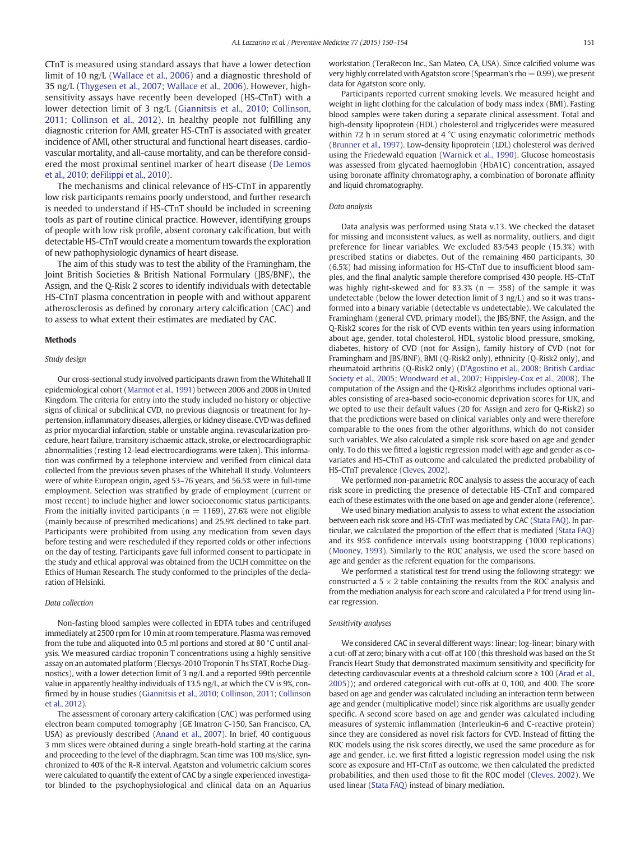CTnT is measured using standard assays that have a lower detection limit of 10 ng/L [\(Wallace et al., 2006](#page-3-0)) and a diagnostic threshold of 35 ng/L ([Thygesen et al., 2007; Wallace et al., 2006](#page-3-0)). However, highsensitivity assays have recently been developed (HS-CTnT) with a lower detection limit of 3 ng/L [\(Giannitsis et al., 2010; Collinson,](#page-3-0) [2011; Collinson et al., 2012\)](#page-3-0). In healthy people not fulfilling any diagnostic criterion for AMI, greater HS-CTnT is associated with greater incidence of AMI, other structural and functional heart diseases, cardiovascular mortality, and all-cause mortality, and can be therefore considered the most proximal sentinel marker of heart disease ([De Lemos](#page-4-0) [et al., 2010; deFilippi et al., 2010](#page-4-0)).

The mechanisms and clinical relevance of HS-CTnT in apparently low risk participants remains poorly understood, and further research is needed to understand if HS-CTnT should be included in screening tools as part of routine clinical practice. However, identifying groups of people with low risk profile, absent coronary calcification, but with detectable HS-CTnT would create a momentum towards the exploration of new pathophysiologic dynamics of heart disease.

The aim of this study was to test the ability of the Framingham, the Joint British Societies & British National Formulary (JBS/BNF), the Assign, and the Q-Risk 2 scores to identify individuals with detectable HS-CTnT plasma concentration in people with and without apparent atherosclerosis as defined by coronary artery calcification (CAC) and to assess to what extent their estimates are mediated by CAC.

## Methods

## Study design

Our cross-sectional study involved participants drawn from the Whitehall II epidemiological cohort [\(Marmot et al., 1991](#page-4-0)) between 2006 and 2008 in United Kingdom. The criteria for entry into the study included no history or objective signs of clinical or subclinical CVD, no previous diagnosis or treatment for hypertension, inflammatory diseases, allergies, or kidney disease. CVD was defined as prior myocardial infarction, stable or unstable angina, revascularization procedure, heart failure, transitory ischaemic attack, stroke, or electrocardiographic abnormalities (resting 12-lead electrocardiograms were taken). This information was confirmed by a telephone interview and verified from clinical data collected from the previous seven phases of the Whitehall II study. Volunteers were of white European origin, aged 53–76 years, and 56.5% were in full-time employment. Selection was stratified by grade of employment (current or most recent) to include higher and lower socioeconomic status participants. From the initially invited participants ( $n = 1169$ ), 27.6% were not eligible (mainly because of prescribed medications) and 25.9% declined to take part. Participants were prohibited from using any medication from seven days before testing and were rescheduled if they reported colds or other infections on the day of testing. Participants gave full informed consent to participate in the study and ethical approval was obtained from the UCLH committee on the Ethics of Human Research. The study conformed to the principles of the declaration of Helsinki.

# Data collection

Non-fasting blood samples were collected in EDTA tubes and centrifuged immediately at 2500 rpm for 10 min at room temperature. Plasma was removed from the tube and aliquoted into 0.5 ml portions and stored at 80 °C until analysis. We measured cardiac troponin T concentrations using a highly sensitive assay on an automated platform (Elecsys-2010 Troponin T hs STAT, Roche Diagnostics), with a lower detection limit of 3 ng/L and a reported 99th percentile value in apparently healthy individuals of 13.5 ng/L, at which the CV is 9%, confirmed by in house studies [\(Giannitsis et al., 2010; Collinson, 2011; Collinson](#page-3-0) [et al., 2012](#page-3-0)).

The assessment of coronary artery calcification (CAC) was performed using electron beam computed tomography (GE Imatron C-150, San Francisco, CA, USA) as previously described [\(Anand et al., 2007](#page-4-0)). In brief, 40 contiguous 3 mm slices were obtained during a single breath-hold starting at the carina and proceeding to the level of the diaphragm. Scan time was 100 ms/slice, synchronized to 40% of the R-R interval. Agatston and volumetric calcium scores were calculated to quantify the extent of CAC by a single experienced investigator blinded to the psychophysiological and clinical data on an Aquarius workstation (TeraRecon Inc., San Mateo, CA, USA). Since calcified volume was very highly correlated with Agatston score (Spearman's rho  $= 0.99$ ), we present data for Agatston score only.

Participants reported current smoking levels. We measured height and weight in light clothing for the calculation of body mass index (BMI). Fasting blood samples were taken during a separate clinical assessment. Total and high-density lipoprotein (HDL) cholesterol and triglycerides were measured within 72 h in serum stored at 4 °C using enzymatic colorimetric methods ([Brunner et al., 1997](#page-4-0)). Low-density lipoprotein (LDL) cholesterol was derived using the Friedewald equation ([Warnick et al., 1990](#page-4-0)). Glucose homeostasis was assessed from glycated haemoglobin (HbA1C) concentration, assayed using boronate affinity chromatography, a combination of boronate affinity and liquid chromatography.

# Data analysis

Data analysis was performed using Stata v.13. We checked the dataset for missing and inconsistent values, as well as normality, outliers, and digit preference for linear variables. We excluded 83/543 people (15.3%) with prescribed statins or diabetes. Out of the remaining 460 participants, 30 (6.5%) had missing information for HS-CTnT due to insufficient blood samples, and the final analytic sample therefore comprised 430 people. HS-CTnT was highly right-skewed and for 83.3% ( $n = 358$ ) of the sample it was undetectable (below the lower detection limit of 3 ng/L) and so it was transformed into a binary variable (detectable vs undetectable). We calculated the Framingham (general CVD, primary model), the JBS/BNF, the Assign, and the Q-Risk2 scores for the risk of CVD events within ten years using information about age, gender, total cholesterol, HDL, systolic blood pressure, smoking, diabetes, history of CVD (not for Assign), family history of CVD (not for Framingham and JBS/BNF), BMI (Q-Risk2 only), ethnicity (Q-Risk2 only), and rheumatoid arthritis (Q-Risk2 only) [\(D'Agostino et al., 2008; British Cardiac](#page-3-0) [Society et al., 2005; Woodward et al., 2007; Hippisley-Cox et al., 2008](#page-3-0)). The computation of the Assign and the Q-Risk2 algorithms includes optional variables consisting of area-based socio-economic deprivation scores for UK, and we opted to use their default values (20 for Assign and zero for Q-Risk2) so that the predictions were based on clinical variables only and were therefore comparable to the ones from the other algorithms, which do not consider such variables. We also calculated a simple risk score based on age and gender only. To do this we fitted a logistic regression model with age and gender as covariates and HS-CTnT as outcome and calculated the predicted probability of HS-CTnT prevalence [\(Cleves, 2002\)](#page-4-0).

We performed non-parametric ROC analysis to assess the accuracy of each risk score in predicting the presence of detectable HS-CTnT and compared each of these estimates with the one based on age and gender alone (reference).

We used binary mediation analysis to assess to what extent the association between each risk score and HS-CTnT was mediated by CAC ([Stata FAQ](#page-4-0)). In particular, we calculated the proportion of the effect that is mediated [\(Stata FAQ](#page-4-0)) and its 95% confidence intervals using bootstrapping (1000 replications) ([Mooney, 1993](#page-4-0)). Similarly to the ROC analysis, we used the score based on age and gender as the referent equation for the comparisons.

We performed a statistical test for trend using the following strategy: we constructed a  $5 \times 2$  table containing the results from the ROC analysis and from the mediation analysis for each score and calculated a P for trend using linear regression.

#### Sensitivity analyses

We considered CAC in several different ways: linear; log-linear; binary with a cut-off at zero; binary with a cut-off at 100 (this threshold was based on the St Francis Heart Study that demonstrated maximum sensitivity and specificity for detecting cardiovascular events at a threshold calcium score ≥ 100 ([Arad et al.,](#page-4-0) [2005](#page-4-0))); and ordered categorical with cut-offs at 0, 100, and 400. The score based on age and gender was calculated including an interaction term between age and gender (multiplicative model) since risk algorithms are usually gender specific. A second score based on age and gender was calculated including measures of systemic inflammation (Interleukin-6 and C-reactive protein) since they are considered as novel risk factors for CVD. Instead of fitting the ROC models using the risk scores directly, we used the same procedure as for age and gender, i.e. we first fitted a logistic regression model using the risk score as exposure and HT-CTnT as outcome, we then calculated the predicted probabilities, and then used those to fit the ROC model [\(Cleves, 2002](#page-4-0)). We used linear ([Stata FAQ\)](#page-4-0) instead of binary mediation.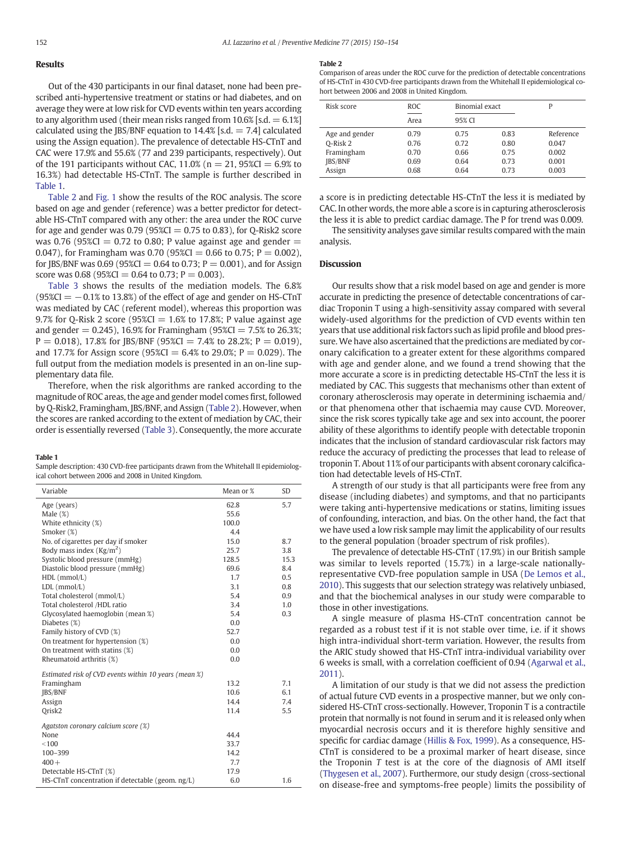# Results

Out of the 430 participants in our final dataset, none had been prescribed anti-hypertensive treatment or statins or had diabetes, and on average they were at low risk for CVD events within ten years according to any algorithm used (their mean risks ranged from  $10.6\%$  [s.d.  $= 6.1\%$ ] calculated using the JBS/BNF equation to  $14.4\%$  [s.d. = 7.4] calculated using the Assign equation). The prevalence of detectable HS-CTnT and CAC were 17.9% and 55.6% (77 and 239 participants, respectively). Out of the 191 participants without CAC, 11.0% ( $n = 21$ , 95%CI = 6.9% to 16.3%) had detectable HS-CTnT. The sample is further described in Table 1.

Table 2 and [Fig. 1](#page-3-0) show the results of the ROC analysis. The score based on age and gender (reference) was a better predictor for detectable HS-CTnT compared with any other: the area under the ROC curve for age and gender was  $0.79$  (95%CI = 0.75 to 0.83), for Q-Risk2 score was 0.76 (95%CI = 0.72 to 0.80; P value against age and gender  $=$ 0.047), for Framingham was 0.70 (95%CI = 0.66 to 0.75;  $P = 0.002$ ), for JBS/BNF was 0.69 (95%CI = 0.64 to 0.73;  $P = 0.001$ ), and for Assign score was 0.68 (95%CI = 0.64 to 0.73;  $P = 0.003$ ).

[Table 3](#page-3-0) shows the results of the mediation models. The 6.8%  $(95\%CI = -0.1\%$  to 13.8%) of the effect of age and gender on HS-CTnT was mediated by CAC (referent model), whereas this proportion was 9.7% for Q-Risk 2 score (95%CI =  $1.6%$  to 17.8%; P value against age and gender = 0.245), 16.9% for Framingham ( $95\%$ CI = 7.5% to 26.3%;  $P = 0.018$ ), 17.8% for JBS/BNF (95%CI = 7.4% to 28.2%;  $P = 0.019$ ), and 17.7% for Assign score (95%CI = 6.4% to 29.0%; P = 0.029). The full output from the mediation models is presented in an on-line supplementary data file.

Therefore, when the risk algorithms are ranked according to the magnitude of ROC areas, the age and gender model comes first, followed by Q-Risk2, Framingham, JBS/BNF, and Assign (Table 2). However, when the scores are ranked according to the extent of mediation by CAC, their order is essentially reversed [\(Table 3](#page-3-0)). Consequently, the more accurate

## Table 1

Sample description: 430 CVD-free participants drawn from the Whitehall II epidemiological cohort between 2006 and 2008 in United Kingdom.

| Variable                                              | Mean or %    | <b>SD</b> |
|-------------------------------------------------------|--------------|-----------|
| Age (years)<br>Male $(\%)$                            | 62.8<br>55.6 | 5.7       |
| White ethnicity (%)                                   | 100.0        |           |
| Smoker (%)                                            | 4.4          |           |
| No. of cigarettes per day if smoker                   | 15.0         | 8.7       |
| Body mass index ( $\text{Kg/m}^2$ )                   | 25.7         | 3.8       |
| Systolic blood pressure (mmHg)                        | 128.5        | 15.3      |
| Diastolic blood pressure (mmHg)                       | 69.6         | 8.4       |
| $HDL$ (mmol/L)                                        | 1.7          | 0.5       |
| $LDL$ (mmol/L)                                        | 3.1          | 0.8       |
| Total cholesterol (mmol/L)                            | 5.4          | 0.9       |
| Total cholesterol /HDL ratio                          | 3.4          | 1.0       |
| Glycosylated haemoglobin (mean %)                     | 5.4          | 0.3       |
| Diabetes (%)                                          | 0.0          |           |
| Family history of CVD (%)                             | 52.7         |           |
| On treatment for hypertension (%)                     | 0.0          |           |
| On treatment with statins (%)                         | 0.0          |           |
| Rheumatoid arthritis (%)                              | 0.0          |           |
| Estimated risk of CVD events within 10 years (mean %) |              |           |
| Framingham                                            | 13.2         | 7.1       |
| <b>IBS/BNF</b>                                        | 10.6         | 6.1       |
| Assign                                                | 14.4         | 7.4       |
| Orisk <sub>2</sub>                                    | 11.4         | 5.5       |
| Agatston coronary calcium score (%)                   |              |           |
| None                                                  | 44.4         |           |
| < 100                                                 | 33.7         |           |
| 100-399                                               | 14.2         |           |
| $400 +$                                               | 7.7          |           |
| Detectable HS-CTnT (%)                                | 17.9         |           |
| HS-CTnT concentration if detectable (geom. ng/L)      | 6.0          | 1.6       |

#### Table 2

Comparison of areas under the ROC curve for the prediction of detectable concentrations of HS-CTnT in 430 CVD-free participants drawn from the Whitehall II epidemiological cohort between 2006 and 2008 in United Kingdom.

| Risk score     | ROC. | Binomial exact |      |           |
|----------------|------|----------------|------|-----------|
|                | Area | 95% CI         |      |           |
| Age and gender | 0.79 | 0.75           | 0.83 | Reference |
| O-Risk 2       | 0.76 | 0.72           | 0.80 | 0.047     |
| Framingham     | 0.70 | 0.66           | 0.75 | 0.002     |
| <b>IBS/BNF</b> | 0.69 | 0.64           | 0.73 | 0.001     |
| Assign         | 0.68 | 0.64           | 0.73 | 0.003     |

a score is in predicting detectable HS-CTnT the less it is mediated by CAC. In other words, the more able a score is in capturing atherosclerosis the less it is able to predict cardiac damage. The P for trend was 0.009.

The sensitivity analyses gave similar results compared with the main analysis.

# **Discussion**

Our results show that a risk model based on age and gender is more accurate in predicting the presence of detectable concentrations of cardiac Troponin T using a high-sensitivity assay compared with several widely-used algorithms for the prediction of CVD events within ten years that use additional risk factors such as lipid profile and blood pressure. We have also ascertained that the predictions are mediated by coronary calcification to a greater extent for these algorithms compared with age and gender alone, and we found a trend showing that the more accurate a score is in predicting detectable HS-CTnT the less it is mediated by CAC. This suggests that mechanisms other than extent of coronary atherosclerosis may operate in determining ischaemia and/ or that phenomena other that ischaemia may cause CVD. Moreover, since the risk scores typically take age and sex into account, the poorer ability of these algorithms to identify people with detectable troponin indicates that the inclusion of standard cardiovascular risk factors may reduce the accuracy of predicting the processes that lead to release of troponin T. About 11% of our participants with absent coronary calcification had detectable levels of HS-CTnT.

A strength of our study is that all participants were free from any disease (including diabetes) and symptoms, and that no participants were taking anti-hypertensive medications or statins, limiting issues of confounding, interaction, and bias. On the other hand, the fact that we have used a low risk sample may limit the applicability of our results to the general population (broader spectrum of risk profiles).

The prevalence of detectable HS-CTnT (17.9%) in our British sample was similar to levels reported (15.7%) in a large-scale nationallyrepresentative CVD-free population sample in USA ([De Lemos et al.,](#page-4-0) [2010\)](#page-4-0). This suggests that our selection strategy was relatively unbiased, and that the biochemical analyses in our study were comparable to those in other investigations.

A single measure of plasma HS-CTnT concentration cannot be regarded as a robust test if it is not stable over time, i.e. if it shows high intra-individual short-term variation. However, the results from the ARIC study showed that HS-CTnT intra-individual variability over 6 weeks is small, with a correlation coefficient of 0.94 ([Agarwal et al.,](#page-4-0) [2011\)](#page-4-0).

A limitation of our study is that we did not assess the prediction of actual future CVD events in a prospective manner, but we only considered HS-CTnT cross-sectionally. However, Troponin T is a contractile protein that normally is not found in serum and it is released only when myocardial necrosis occurs and it is therefore highly sensitive and specific for cardiac damage ([Hillis & Fox, 1999\)](#page-4-0). As a consequence, HS-CTnT is considered to be a proximal marker of heart disease, since the Troponin  $T$  test is at the core of the diagnosis of AMI itself [\(Thygesen et al., 2007](#page-3-0)). Furthermore, our study design (cross-sectional on disease-free and symptoms-free people) limits the possibility of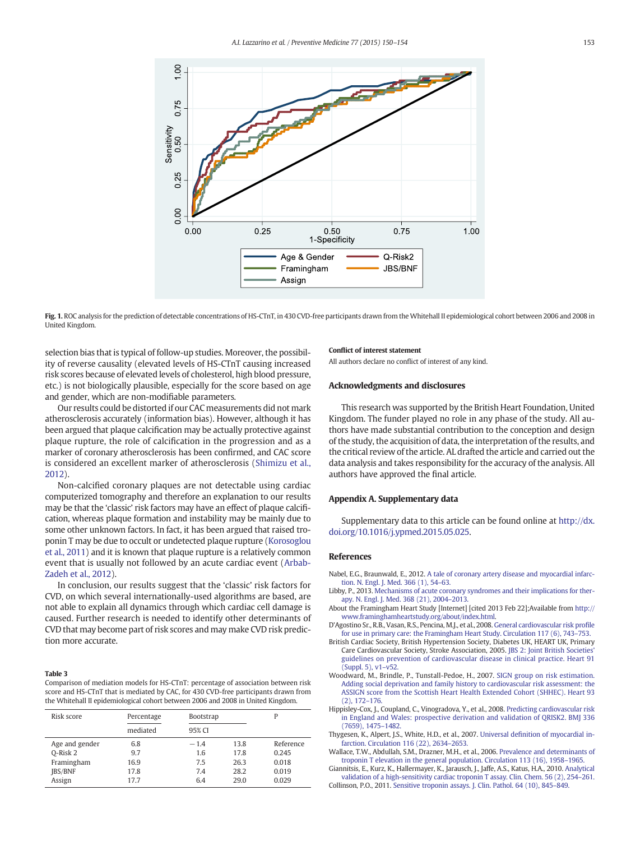<span id="page-3-0"></span>



selection bias that is typical of follow-up studies. Moreover, the possibility of reverse causality (elevated levels of HS-CTnT causing increased risk scores because of elevated levels of cholesterol, high blood pressure, etc.) is not biologically plausible, especially for the score based on age and gender, which are non-modifiable parameters.

Our results could be distorted if our CAC measurements did not mark atherosclerosis accurately (information bias). However, although it has been argued that plaque calcification may be actually protective against plaque rupture, the role of calcification in the progression and as a marker of coronary atherosclerosis has been confirmed, and CAC score is considered an excellent marker of atherosclerosis [\(Shimizu et al.,](#page-4-0) [2012](#page-4-0)).

Non-calcified coronary plaques are not detectable using cardiac computerized tomography and therefore an explanation to our results may be that the 'classic' risk factors may have an effect of plaque calcification, whereas plaque formation and instability may be mainly due to some other unknown factors. In fact, it has been argued that raised troponin T may be due to occult or undetected plaque rupture [\(Korosoglou](#page-4-0) [et al., 2011\)](#page-4-0) and it is known that plaque rupture is a relatively common event that is usually not followed by an acute cardiac event [\(Arbab-](#page-4-0)[Zadeh et al., 2012\)](#page-4-0).

In conclusion, our results suggest that the 'classic' risk factors for CVD, on which several internationally-used algorithms are based, are not able to explain all dynamics through which cardiac cell damage is caused. Further research is needed to identify other determinants of CVD that may become part of risk scores and may make CVD risk prediction more accurate.

#### Table 3

Comparison of mediation models for HS-CTnT: percentage of association between risk score and HS-CTnT that is mediated by CAC, for 430 CVD-free participants drawn from the Whitehall II epidemiological cohort between 2006 and 2008 in United Kingdom.

| Risk score     | Percentage | <b>Bootstrap</b> |      | P         |
|----------------|------------|------------------|------|-----------|
|                | mediated   | 95% CI           |      |           |
| Age and gender | 6.8        | $-1.4$           | 13.8 | Reference |
| O-Risk 2       | 9.7        | 1.6              | 17.8 | 0.245     |
| Framingham     | 16.9       | 7.5              | 26.3 | 0.018     |
| JBS/BNF        | 17.8       | 7.4              | 28.2 | 0.019     |
| Assign         | 17.7       | 6.4              | 29.0 | 0.029     |

#### Conflict of interest statement

All authors declare no conflict of interest of any kind.

# Acknowledgments and disclosures

This research was supported by the British Heart Foundation, United Kingdom. The funder played no role in any phase of the study. All authors have made substantial contribution to the conception and design of the study, the acquisition of data, the interpretation of the results, and the critical review of the article. AL drafted the article and carried out the data analysis and takes responsibility for the accuracy of the analysis. All authors have approved the final article.

# Appendix A. Supplementary data

Supplementary data to this article can be found online at [http://dx.](http://dx.doi.org/10.1016/j.ypmed.2015.05.025) [doi.org/10.1016/j.ypmed.2015.05.025](http://dx.doi.org/10.1016/j.ypmed.2015.05.025).

#### References

- Nabel, E.G., Braunwald, E., 2012. [A tale of coronary artery disease and myocardial infarc](http://refhub.elsevier.com/S0091-7435(15)00186-3/rf0005)[tion. N. Engl. J. Med. 366 \(1\), 54](http://refhub.elsevier.com/S0091-7435(15)00186-3/rf0005)–63.
- Libby, P., 2013. [Mechanisms of acute coronary syndromes and their implications for ther](http://refhub.elsevier.com/S0091-7435(15)00186-3/rf0010)[apy. N. Engl. J. Med. 368 \(21\), 2004](http://refhub.elsevier.com/S0091-7435(15)00186-3/rf0010)–2013.
- About the Framingham Heart Study [Internet] [cited 2013 Feb 22];Available from [http://](http://www.framinghamheartstudy.org/about/index.html) [www.framinghamheartstudy.org/about/index.html](http://www.framinghamheartstudy.org/about/index.html).
- D'Agostino Sr., R.B., Vasan, R.S., Pencina, M.J., et al., 2008. [General cardiovascular risk pro](http://refhub.elsevier.com/S0091-7435(15)00186-3/rf0015)file [for use in primary care: the Framingham Heart Study. Circulation 117 \(6\), 743](http://refhub.elsevier.com/S0091-7435(15)00186-3/rf0015)–753.
- British Cardiac Society, British Hypertension Society, Diabetes UK, HEART UK, Primary Care Cardiovascular Society, Stroke Association, 2005. [JBS 2: Joint British Societies'](http://refhub.elsevier.com/S0091-7435(15)00186-3/rf0120) [guidelines on prevention of cardiovascular disease in clinical practice. Heart 91](http://refhub.elsevier.com/S0091-7435(15)00186-3/rf0120)  $(Sumbel, 5)$ , v1–v52
- Woodward, M., Brindle, P., Tunstall-Pedoe, H., 2007. [SIGN group on risk estimation.](http://refhub.elsevier.com/S0091-7435(15)00186-3/rf0125) [Adding social deprivation and family history to cardiovascular risk assessment: the](http://refhub.elsevier.com/S0091-7435(15)00186-3/rf0125) [ASSIGN score from the Scottish Heart Health Extended Cohort \(SHHEC\). Heart 93](http://refhub.elsevier.com/S0091-7435(15)00186-3/rf0125) [\(2\), 172](http://refhub.elsevier.com/S0091-7435(15)00186-3/rf0125)–176.
- Hippisley-Cox, J., Coupland, C., Vinogradova, Y., et al., 2008. [Predicting cardiovascular risk](http://refhub.elsevier.com/S0091-7435(15)00186-3/rf0020) [in England and Wales: prospective derivation and validation of QRISK2. BMJ 336](http://refhub.elsevier.com/S0091-7435(15)00186-3/rf0020) [\(7659\), 1475](http://refhub.elsevier.com/S0091-7435(15)00186-3/rf0020)–1482.
- Thygesen, K., Alpert, J.S., White, H.D., et al., 2007. Universal defi[nition of myocardial in](http://refhub.elsevier.com/S0091-7435(15)00186-3/rf0025)[farction. Circulation 116 \(22\), 2634](http://refhub.elsevier.com/S0091-7435(15)00186-3/rf0025)–2653.
- Wallace, T.W., Abdullah, S.M., Drazner, M.H., et al., 2006. [Prevalence and determinants of](http://refhub.elsevier.com/S0091-7435(15)00186-3/rf0030) [troponin T elevation in the general population. Circulation 113 \(16\), 1958](http://refhub.elsevier.com/S0091-7435(15)00186-3/rf0030)–1965.

Giannitsis, E., Kurz, K., Hallermayer, K., Jarausch, J., Jaffe, A.S., Katus, H.A., 2010. [Analytical](http://refhub.elsevier.com/S0091-7435(15)00186-3/rf0035) [validation of a high-sensitivity cardiac troponin T assay. Clin. Chem. 56 \(2\), 254](http://refhub.elsevier.com/S0091-7435(15)00186-3/rf0035)–261.

Collinson, P.O., 2011. [Sensitive troponin assays. J. Clin. Pathol. 64 \(10\), 845](http://refhub.elsevier.com/S0091-7435(15)00186-3/rf0040)–849.